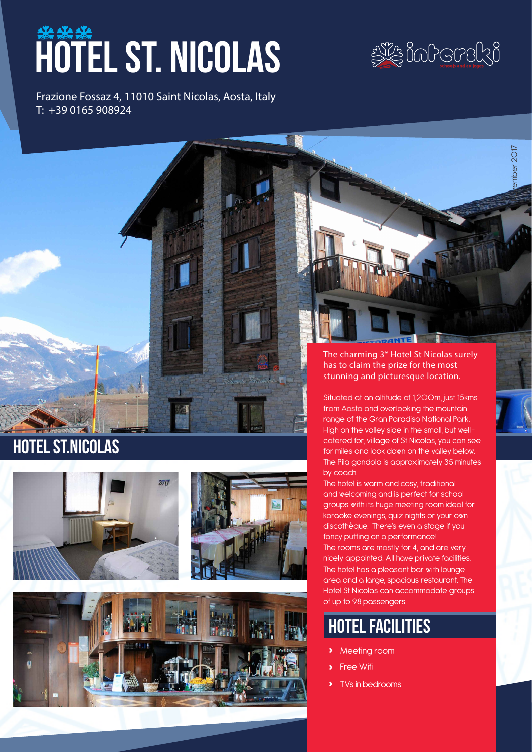# hotel st. nicolas

Frazione Fossaz 4, 11010 Saint Nicolas, Aosta, Italy T: +39 0165 908924



November 2017

imber 201

The charming 3\* Hotel St Nicolas surely has to claim the prize for the most stunning and picturesque location.

Situated at an altitude of 1,200m, just 15kms from Aosta and overlooking the mountain range of the Gran Paradiso National Park. High on the valley side in the small, but wellcatered for, village of St Nicolas, you can see for miles and look down on the valley below. The Pila gondola is approximately 35 minutes by coach.

The hotel is warm and cosy, traditional and welcoming and is perfect for school groups with its huge meeting room ideal for karaoke evenings, quiz nights or your own discothèque. There's even a stage if you fancy putting on a performance! The rooms are mostly for 4, and are very nicely appointed. All have private facilities. The hotel has a pleasant bar with lounge area and a large, spacious restaurant. The Hotel St Nicolas can accommodate groups of up to 98 passengers.

# hotel facilities

- **›** Meeting room
- **›** Free Wifi
- **›** TVs in bedrooms